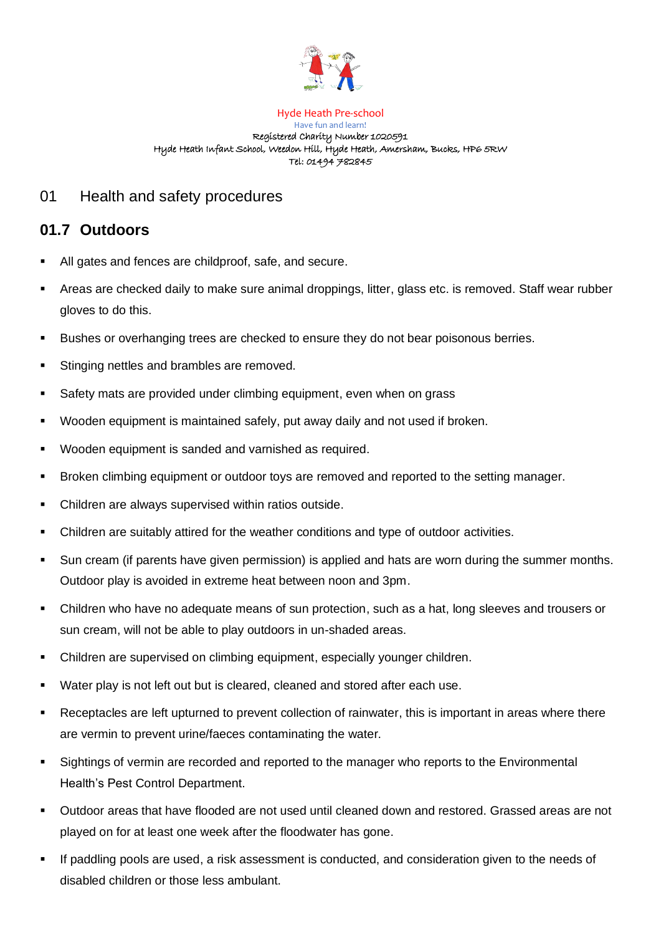

#### Hyde Heath Pre-school Have fun and learn! Registered Charity Number 1020591 Hyde Heath Infant School, Weedon Hill, Hyde Heath, Amersham, Bucks, HP6 5RW Tel: 01494 782845

## 01 Health and safety procedures

# **01.7 Outdoors**

- All gates and fences are childproof, safe, and secure.
- Areas are checked daily to make sure animal droppings, litter, glass etc. is removed. Staff wear rubber gloves to do this.
- Bushes or overhanging trees are checked to ensure they do not bear poisonous berries.
- Stinging nettles and brambles are removed.
- Safety mats are provided under climbing equipment, even when on grass
- Wooden equipment is maintained safely, put away daily and not used if broken.
- Wooden equipment is sanded and varnished as required.
- Broken climbing equipment or outdoor toys are removed and reported to the setting manager.
- Children are always supervised within ratios outside.
- Children are suitably attired for the weather conditions and type of outdoor activities.
- Sun cream (if parents have given permission) is applied and hats are worn during the summer months. Outdoor play is avoided in extreme heat between noon and 3pm.
- Children who have no adequate means of sun protection, such as a hat, long sleeves and trousers or sun cream, will not be able to play outdoors in un-shaded areas.
- Children are supervised on climbing equipment, especially younger children.
- Water play is not left out but is cleared, cleaned and stored after each use.
- Receptacles are left upturned to prevent collection of rainwater, this is important in areas where there are vermin to prevent urine/faeces contaminating the water.
- Sightings of vermin are recorded and reported to the manager who reports to the Environmental Health's Pest Control Department.
- Outdoor areas that have flooded are not used until cleaned down and restored. Grassed areas are not played on for at least one week after the floodwater has gone.
- If paddling pools are used, a risk assessment is conducted, and consideration given to the needs of disabled children or those less ambulant.